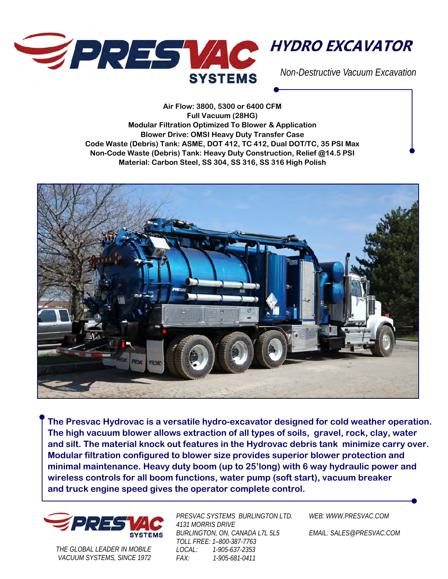

**Air Flow: 3800, 5300 or 6400 CFM Full Vacuum (28HG) Modular Filtration Optimized To Blower & Application Blower Drive: OMSI Heavy Duty Transfer Case Code Waste (Debris) Tank: ASME, DOT 412, TC 412, Dual DOT/TC, 35 PSI Max Non-Code Waste (Debris) Tank: Heavy Duty Construction, Relief @14.5 PSI Material: Carbon Steel, SS 304, SS 316, SS 316 High Polish** 



**The Presvac Hydrovac is a versatile hydro-excavator designed for cold weather operation. The high vacuum blower allows extraction of all types of soils, gravel, rock, clay, water and silt. The material knock out features in the Hydrovac debris tank minimize carry over. Modular filtration configured to blower size provides superior blower protection and minimal maintenance. Heavy duty boom (up to 25'long) with 6 way hydraulic power and wireless controls for all boom functions, water pump (soft start), vacuum breaker and truck engine speed gives the operator complete control.** 



*THE GLOBAL LEADER IN MOBILE VACUUM SYSTEMS, SINCE 1972*  *PRESVAC SYSTEMS BURLINGTON LTD. 4131 MORRIS DRIVE BURLINGTON, ON, CANADA L7L 5L5 TOLL FREE: 1–800-387-7763 LOCAL: 1-905-637-2353 FAX: 1-905-681-0411* 

*WEB: WWW.PRESVAC.COM* 

*EMAIL: SALES@PRESVAC.COM*